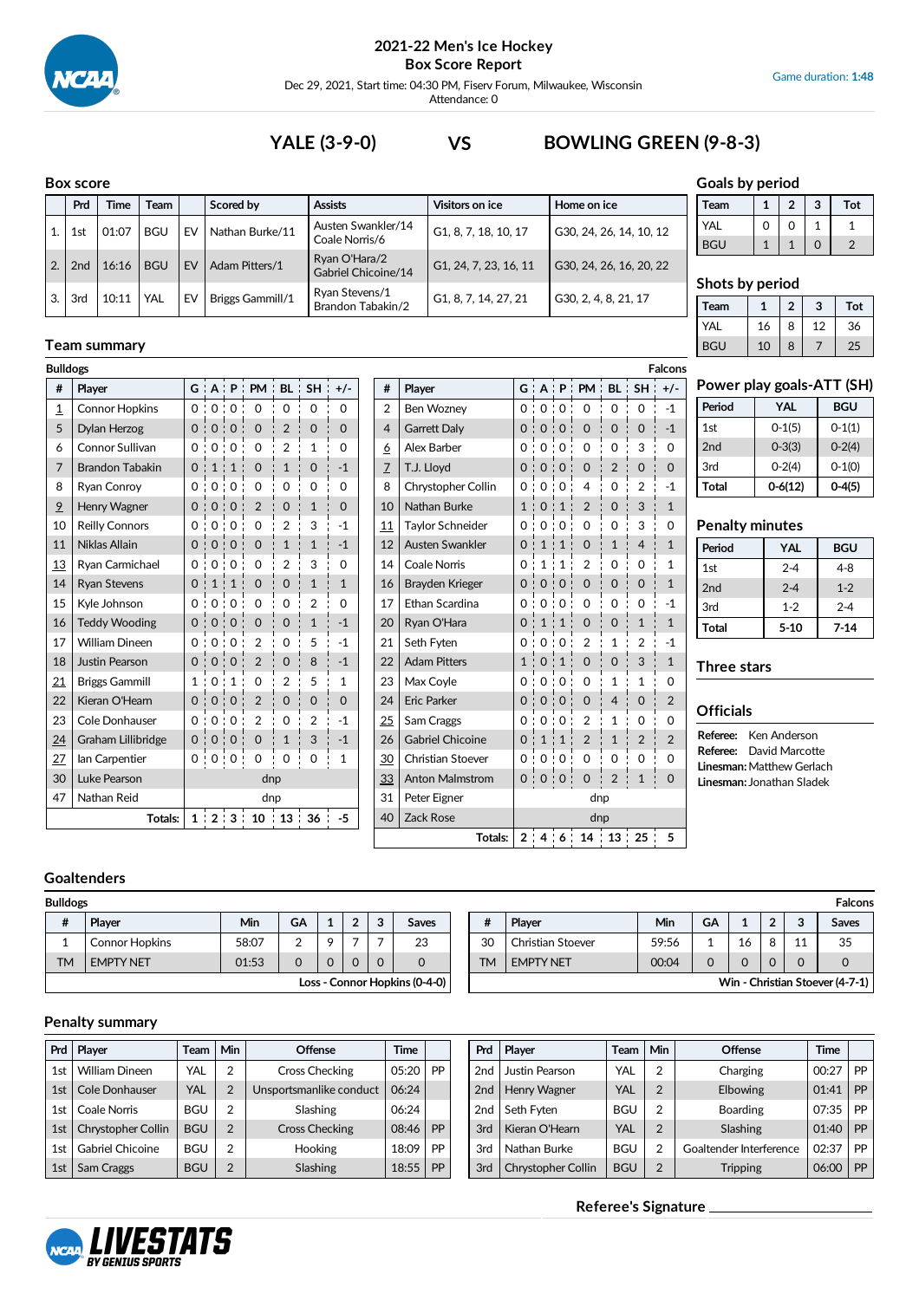

Dec 29, 2021, Start time: 04:30 PM, Fiserv Forum, Milwaukee, Wisconsin Attendance: 0

**Team 1 2 3 Tot**

# **YALE (3-9-0) VS BOWLING GREEN (9-8-3)**

#### **Box score**

|     | Box score |             |            |    |                         |                                      |                       |                         | Goals by period         |   |                |   |                               |
|-----|-----------|-------------|------------|----|-------------------------|--------------------------------------|-----------------------|-------------------------|-------------------------|---|----------------|---|-------------------------------|
|     | Prd       | <b>Time</b> | Team       |    | Scored by               | <b>Assists</b>                       | Visitors on ice       | Home on ice             | Team                    | 1 | $\overline{2}$ | 3 | Tot                           |
|     | 1st       | 01:07       | <b>BGU</b> | EV | Nathan Burke/11         | Austen Swankler/14<br>Coale Norris/6 | G1, 8, 7, 18, 10, 17  | G30, 24, 26, 14, 10, 12 | <b>YAL</b>              | 0 | $\Omega$       |   | $\mathbf{1}$<br>$\mathcal{P}$ |
| 2.1 | 2nd       | 16:16       | <b>BGU</b> | EV | Adam Pitters/1          | Ryan O'Hara/2<br>Gabriel Chicoine/14 | G1, 24, 7, 23, 16, 11 | G30, 24, 26, 16, 20, 22 | <b>BGU</b>              |   |                |   |                               |
| 3.1 | 3rd       | 10:11       | YAL        | EV | <b>Briggs Gammill/1</b> | Ryan Stevens/1<br>Brandon Tabakin/2  | G1, 8, 7, 14, 27, 21  | G30, 2, 4, 8, 21, 17    | Shots by period<br>Team |   | To             |   |                               |

## **Team summary**

| <b>Bulldogs</b>           | <b>Falcons</b>              |          |                   |                |                                  |                |                |              |    |                        |                          |               |                                |                               |                                     |                |                |                |
|---------------------------|-----------------------------|----------|-------------------|----------------|----------------------------------|----------------|----------------|--------------|----|------------------------|--------------------------|---------------|--------------------------------|-------------------------------|-------------------------------------|----------------|----------------|----------------|
| #                         | <b>Player</b>               |          |                   |                | $G : A : P : PM : BL : SH : +/-$ |                |                |              |    | #                      | <b>Player</b>            |               |                                |                               | $G$ $A$ $P$ $P$ $M$ $BL$ $SH$ $+/-$ |                |                |                |
| $\overline{1}$            | <b>Connor Hopkins</b>       |          | 0:0:0:            |                | $\mathbf 0$                      | $\Omega$       | $\Omega$       | $\Omega$     |    | $\overline{2}$         | <b>Ben Wozney</b>        |               | 0:0:0                          |                               | $\mathbf 0$                         | $\mathbf 0$    | $\Omega$       | $-1$           |
| 5                         | Dylan Herzog                |          | 0:0:0             | ٠              | $\mathbf 0$                      | $\overline{2}$ | $\mathbf 0$    | $\Omega$     |    | $\overline{4}$         | <b>Garrett Daly</b>      |               | 0:0:0                          | ÷                             | $\mathbf 0$                         | $\mathbf 0$    | 0              | $-1$           |
| 6                         | Connor Sullivan             |          | 0:0:0:            |                | $\mathbf 0$                      | $\overline{2}$ | 1              | $\Omega$     |    | 6                      | Alex Barber              | 0             | 0:0:0                          |                               | $\mathbf 0$                         | $\mathbf 0$    | 3              | $\Omega$       |
| 7                         | <b>Brandon Tabakin</b>      | 0:1      |                   | $\div$ 1       | $\Omega$                         | $\mathbf{1}$   | $\Omega$       | $-1$         |    | 7                      | T.J. Lloyd               | $\Omega$<br>÷ | 0:0                            |                               | $\mathbf 0$                         | $\overline{2}$ | 0              | $\Omega$       |
| 8                         | Ryan Conroy                 |          | 0:0:0:            |                | 0                                | $\mathbf 0$    | $\mathbf 0$    | $\mathbf 0$  |    | 8                      | Chrystopher Collin       |               | 0:0:0                          |                               | 4                                   | 0              | $\overline{2}$ | $-1$           |
| $\overline{9}$            | Henry Wagner                | 0:       | 0:                | $\Omega$       | $\overline{2}$                   | $\Omega$       | $\mathbf{1}$   | $\Omega$     |    | 10                     | Nathan Burke             | 1:            | $\Omega$                       | ÷<br>$\mathbf{1}$             | 2                                   | $\mathbf 0$    | 3              | $\mathbf{1}$   |
| 10                        | <b>Reilly Connors</b>       | 0:       | $\Omega$<br>÷     | $\mathbf 0$    | $\mathbf 0$                      | $\overline{2}$ | 3              | $-1$         |    | 11                     | <b>Taylor Schneider</b>  | 0 :           | $\Omega$                       | $\mathbf{.0}$                 | 0                                   | 0              | 3              | 0              |
| 11                        | Niklas Allain               |          | 0:0:              | $\mathbf 0$    | $\Omega$                         | $\mathbf{1}$   | $\mathbf{1}$   | $-1$         |    | 12                     | Austen Swankler          | 0:            | $\mathbf{1}$<br>$\blacksquare$ | $\mathbf{1}$                  | $\Omega$                            | $\mathbf{1}$   | 4              | $\mathbf{1}$   |
| 13                        | Ryan Carmichael             | 0:       | 0:                | 0:             | $\Omega$                         | $\overline{2}$ | 3              | 0            |    | 14                     | <b>Coale Norris</b>      | 0             | $\mathbf{1}$                   | 1<br>л.                       | 2                                   | 0              | 0              | $\mathbf{1}$   |
| 14                        | <b>Ryan Stevens</b>         |          | 0:1               | $\mathbf{1}$   | $\Omega$                         | $\mathbf 0$    | $\mathbf{1}$   | $\mathbf{1}$ |    | 16                     | Brayden Krieger          | 0:            | $\Omega$                       | $\cdot$ 0                     | $\Omega$                            | 0              | $\Omega$       | $\mathbf{1}$   |
| 15                        | Kyle Johnson                | $\Omega$ | $\Omega$<br>÷     | $\Omega$       | $\Omega$                         | $\Omega$       | $\overline{2}$ | $\Omega$     |    | 17                     | Ethan Scardina           | 0             | $\Omega$                       | $\cdot$ 0                     | 0                                   | 0              | 0              | $-1$           |
| 16                        | <b>Teddy Wooding</b>        |          | 0:0<br>÷          | $\Omega$       | $\Omega$                         | $\mathbf 0$    | $\mathbf{1}$   | $-1$         |    | 20                     | Ryan O'Hara              | 0 :           |                                |                               | $\Omega$                            | $\mathbf 0$    | 1              | $\mathbf{1}$   |
| 17                        | <b>William Dineen</b>       |          | 0:0<br>÷          | 0:             | $\overline{2}$                   | $\mathbf 0$    | 5              | $-1$         |    | 21                     | Seth Fyten               | 0 '           | $\Omega$                       | $\mathbf{.}0$                 | $\overline{2}$                      | 1              | $\overline{2}$ | $-1$           |
| 18                        | Justin Pearson              |          | 0:0:              | $\Omega$       | $\overline{2}$                   | $\Omega$       | 8              | $-1$         |    | 22                     | <b>Adam Pitters</b>      | $1$ :         | $\Omega$<br>÷                  | $\mathbf{1}$                  | $\Omega$                            | $\mathbf 0$    | 3              | $\mathbf{1}$   |
| 21                        | <b>Briggs Gammill</b>       |          | 1:0:1             | $\blacksquare$ | $\Omega$                         | $\overline{2}$ | 5              | $\mathbf{1}$ |    | 23                     | Max Coyle                | 0             | $\Omega$                       | $\mathbf{1} \cdot \mathbf{0}$ | $\Omega$                            | 1              | 1              | $\Omega$       |
| 22                        | Kieran O'Hearn              |          | 0:0<br>÷          | $\mathbf 0$    | $\overline{2}$                   | 0              | 0              | $\Omega$     |    | 24                     | <b>Eric Parker</b>       | 0:            | 0:0                            |                               | 0                                   | 4              | 0              | $\overline{2}$ |
| 23                        | Cole Donhauser              | 0:       | $\Omega$<br>٠     | $\Omega$       | $\overline{2}$                   | $\Omega$       | $\overline{2}$ | $-1$         |    | 25                     | Sam Craggs               | $\Omega$      | $\Omega$                       | $\cdot$ 0                     | $\overline{2}$                      | $\mathbf{1}$   | 0              | $\Omega$       |
| 24                        | Graham Lillibridge          | 0:       | $\mathbf{0}$<br>÷ | $\mathbf 0$    | $\mathbf 0$                      | $\mathbf{1}$   | 3              | $-1$         |    | 26                     | <b>Gabriel Chicoine</b>  | $\Omega$<br>÷ | $\mathbf{1}$<br>÷              | 1                             | $\overline{2}$                      | $\mathbf{1}$   | 2              | $\overline{2}$ |
| 27                        | lan Carpentier              |          | 0:0:              | 0:             | $\mathbf 0$                      | $\mathbf 0$    | $\mathbf 0$    | $\mathbf{1}$ |    | 30                     | Christian Stoever        | $\Omega$      | $\mathbf 0$                    | $\mathbf 0$<br>÷              | $\mathbf 0$                         | 0              | 0              | $\Omega$       |
| Luke Pearson<br>30<br>dnp |                             |          |                   |                |                                  |                |                |              | 33 | <b>Anton Malmstrom</b> |                          | 0:0:0:        |                                | $\mathbf 0$                   | $\overline{2}$                      | $\mathbf{1}$   | $\Omega$       |                |
| 47                        | Nathan Reid<br>dnp          |          |                   |                |                                  |                |                |              |    | 31                     | Peter Eigner             |               |                                |                               | dnp                                 |                |                |                |
|                           | 1:2:3:10:13:36:5<br>Totals: |          |                   |                |                                  |                |                |              |    | 40                     | Zack Rose<br>$T = 1 - 1$ |               |                                |                               | dnp<br>$0.14121441401951E$          |                |                |                |

|                | <b>Falcons</b>           |                |                |              |                  |                |                          |                |  |  |  |
|----------------|--------------------------|----------------|----------------|--------------|------------------|----------------|--------------------------|----------------|--|--|--|
| #              | Player                   | G              |                |              | $A$ : $P$ : $PM$ | BL : SH        |                          | $+/-$          |  |  |  |
| $\overline{2}$ | <b>Ben Wozney</b>        | 0              | $\Omega$       | $\Omega$     | 0                | 0              | 0                        | $-1$           |  |  |  |
| $\overline{4}$ | <b>Garrett Daly</b>      | 0              | $\mathbf 0$    | 0            | $\Omega$         | $\Omega$       | $\Omega$                 | $-1$           |  |  |  |
| $\overline{6}$ | Alex Barber              | 0              | 0              | 0            | 0                | 0              | 3                        | 0              |  |  |  |
| $\overline{2}$ | T.J. Lloyd               | $\Omega$       | $\Omega$       | 0            | $\Omega$         | $\overline{2}$ | $\Omega$                 | $\mathbf 0$    |  |  |  |
| 8              | Chrystopher Collin       | 0              | 0              | 0            | 4                | 0              | $\overline{2}$           | $-1$           |  |  |  |
| 10             | Nathan Burke             | $\overline{1}$ | 0              | 1            | $\overline{2}$   | $\Omega$       | 3                        | $\mathbf{1}$   |  |  |  |
| 11             | <b>Taylor Schneider</b>  | 0              | 0              | 0            | 0                | 0              | 3                        | 0              |  |  |  |
| 12             | Austen Swankler          | 0              | $\mathbf{1}$   | 1            | $\overline{O}$   | $\mathbf{1}$   | $\overline{\mathcal{L}}$ | $\mathbf{1}$   |  |  |  |
| 14             | <b>Coale Norris</b>      | 0              | $\mathbf{1}$   | 1            | $\overline{2}$   | 0              | 0                        | $\mathbf{1}$   |  |  |  |
| 16             | Brayden Krieger          | $\Omega$       | $\Omega$       | $\Omega$     | $\overline{O}$   | $\Omega$       | $\Omega$                 | $\mathbf{1}$   |  |  |  |
| 17             | Ethan Scardina           | 0              | 0              | 0            | 0                | 0              | 0                        | $-1$           |  |  |  |
| 20             | Ryan O'Hara              | $\Omega$       | $\mathbf{1}$   | $\mathbf{1}$ | $\overline{O}$   | $\overline{0}$ | $\mathbf{1}$             | $\mathbf{1}$   |  |  |  |
| 21             | Seth Fyten               | 0              | 0              | 0            | $\overline{2}$   | 1              | $\overline{2}$           | $-1$           |  |  |  |
| 22             | <b>Adam Pitters</b>      | $\mathbf{1}$   | $\overline{0}$ | $\mathbf{1}$ | $\overline{O}$   | $\overline{0}$ | 3                        | $\mathbf{1}$   |  |  |  |
| 23             | Max Coyle                | 0              | 0              | 0            | 0                | $\mathbf{1}$   | $\mathbf{1}$             | 0              |  |  |  |
| 24             | <b>Eric Parker</b>       | $\Omega$       | $\mathbf 0$    | 0            | $\overline{0}$   | $\overline{4}$ | $\Omega$                 | $\overline{2}$ |  |  |  |
| $_{25}$        | Sam Craggs               | 0              | 0              | 0            | 2                | $\mathbf{1}$   | 0                        | 0              |  |  |  |
| 26             | <b>Gabriel Chicoine</b>  | 0              | $\mathbf{1}$   | $\mathbf{1}$ | $\overline{2}$   | $\mathbf{1}$   | $\overline{2}$           | $\overline{2}$ |  |  |  |
| <u>30</u>      | <b>Christian Stoever</b> | 0              | 0              | 0            | 0                | 0              | 0                        | 0              |  |  |  |
| 33             | <b>Anton Malmstrom</b>   | 0              | $\overline{0}$ | $\mathbf 0$  | $\overline{0}$   | $\overline{2}$ | $\overline{1}$           | 0              |  |  |  |
| 31             | Peter Eigner             |                |                |              | dnp              |                |                          |                |  |  |  |
| 40             | <b>Zack Rose</b>         |                |                |              | dnp              |                |                          |                |  |  |  |
|                | Totals:                  | $\overline{2}$ | 4:6:           |              | 14               | 13:25          |                          | 5              |  |  |  |

# **Power play goals-ATT (SH)**

YAL | 16 | 8 | 12 | 36 BGU | 10 | 8 | 7 | 25

| Period | YAL        | <b>BGU</b> |  |  |  |  |
|--------|------------|------------|--|--|--|--|
| 1st    | $0-1(5)$   | $0-1(1)$   |  |  |  |  |
| 2nd    | $0 - 3(3)$ | $0 - 2(4)$ |  |  |  |  |
| 3rd    | $0 - 2(4)$ | $0-1(0)$   |  |  |  |  |
| Total  | 0-6(12)    | $0 - 4(5)$ |  |  |  |  |

### **Penalty minutes**

| Period          | YAL      | <b>BGU</b> |
|-----------------|----------|------------|
| 1st             | $2 - 4$  | $4 - 8$    |
| 2 <sub>nd</sub> | $2 - 4$  | $1 - 2$    |
| 3rd             | $1 - 2$  | $2 - 4$    |
| Total           | $5 - 10$ | $7-14$     |

### **Three stars**

#### **Officials**

| Referee: | Ken Anderson                     |  |  |  |  |  |  |  |  |
|----------|----------------------------------|--|--|--|--|--|--|--|--|
|          | <b>Referee:</b> David Marcotte   |  |  |  |  |  |  |  |  |
|          | Linesman: Matthew Gerlach        |  |  |  |  |  |  |  |  |
|          | <b>Linesman: Jonathan Sladek</b> |  |  |  |  |  |  |  |  |

#### **Goaltenders**

| <b>Bulldogs</b> |                               |       |          |   |   |   |       |  |  |  |  |  |  |
|-----------------|-------------------------------|-------|----------|---|---|---|-------|--|--|--|--|--|--|
| #               | Player                        | Min   | GA       |   | າ | 3 | Saves |  |  |  |  |  |  |
|                 | <b>Connor Hopkins</b>         | 58:07 | 2        | 9 |   |   | 23    |  |  |  |  |  |  |
| TМ              | <b>EMPTY NET</b>              | 01:53 | $\Omega$ | 0 |   |   |       |  |  |  |  |  |  |
|                 | Loss - Connor Hopkins (0-4-0) |       |          |   |   |   |       |  |  |  |  |  |  |

| <b>Bulldogs</b>               | <b>Falcons</b>        |       |        |  |  |          |              |  |     |                   |       |    |    |    |                                 |
|-------------------------------|-----------------------|-------|--------|--|--|----------|--------------|--|-----|-------------------|-------|----|----|----|---------------------------------|
| #                             | Player                | Min   | GA     |  |  | ີ<br>J   | <b>Saves</b> |  | #   | Player            | Min   | GA |    | ◠  | <b>Saves</b>                    |
|                               | <b>Connor Hopkins</b> | 58:07 | $\sim$ |  |  |          | 23           |  | 30  | Christian Stoever | 59:56 |    | 16 | 11 | 35                              |
| <b>TM</b>                     | <b>EMPTY NET</b>      | 01:53 |        |  |  | $\Omega$ | $\Omega$     |  | TM. | <b>EMPTY NET</b>  | 00:04 |    |    |    | 0                               |
| Loss - Connor Hopkins (0-4-0) |                       |       |        |  |  |          |              |  |     |                   |       |    |    |    | Win - Christian Stoever (4-7-1) |

## **Penalty summary**

|     | Prd   Plaver             | Team       | Min      | <b>Offense</b>          | <b>Time</b> |           | Prd             | <b>Player</b>       | Team       | Min | Offense                 | <b>Time</b> |                 |
|-----|--------------------------|------------|----------|-------------------------|-------------|-----------|-----------------|---------------------|------------|-----|-------------------------|-------------|-----------------|
| 1st | <b>William Dineen</b>    | <b>YAL</b> | າ        | Cross Checking          | 05:20       | <b>PP</b> | 2 <sub>nd</sub> | Justin Pearson      | YAL        | っ   | Charging                | 00:27       | <b>PP</b>       |
|     | 1st   Cole Donhauser     | <b>YAL</b> | 2        | Unsportsmanlike conduct | 06:24       |           | 2 <sub>nd</sub> | <b>Henry Wagner</b> | YAL        | າ   | Elbowing                | 01:41       | PP              |
|     | 1st   Coale Norris       | <b>BGU</b> | っ        | Slashing                | 06:24       |           | 2nd             | Seth Fyten          | <b>BGU</b> |     | <b>Boarding</b>         | 07:35       | <b>PP</b>       |
|     | 1st   Chrystopher Collin | <b>BGU</b> | 2        | Cross Checking          | 08:46       | <b>PP</b> | 3rd             | Kieran O'Hearn      | YAL        |     | Slashing                | 01:40       | $\mathsf{I}$ PP |
|     | 1st   Gabriel Chicoine   | <b>BGU</b> | 2        | <b>Hooking</b>          | 18:09       | <b>PP</b> | 3rd             | Nathan Burke        | <b>BGU</b> |     | Goaltender Interference | 02:37       | <b>PP</b>       |
|     | 1st   Sam Craggs         | <b>BGU</b> | $\Omega$ | Slashing                | 18:55       | <b>PP</b> | 3rd             | Chrystopher Collin  | <b>BGU</b> |     | <b>Tripping</b>         | 06:00       | PP              |



**Referee's Signature**